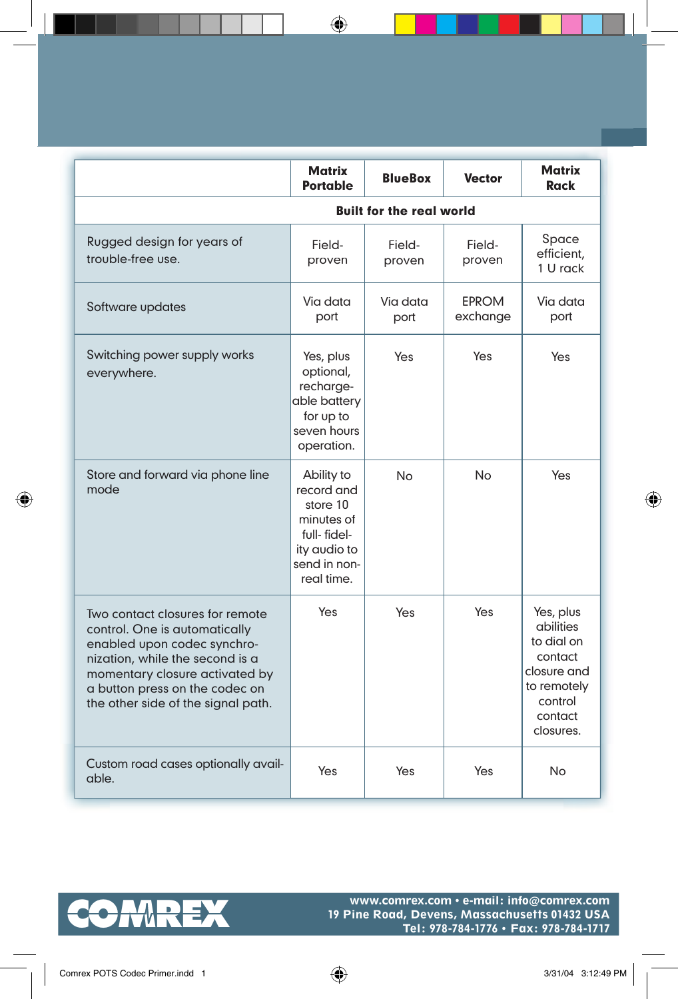|                                                                                                                                                                                                                                              | <b>Matrix</b><br><b>Portable</b>                                                                                | <b>BlueBox</b>   | <b>Vector</b>            | <b>Matrix</b><br><b>Rack</b>                                                                                     |
|----------------------------------------------------------------------------------------------------------------------------------------------------------------------------------------------------------------------------------------------|-----------------------------------------------------------------------------------------------------------------|------------------|--------------------------|------------------------------------------------------------------------------------------------------------------|
| <b>Built for the real world</b>                                                                                                                                                                                                              |                                                                                                                 |                  |                          |                                                                                                                  |
| Rugged design for years of<br>trouble-free use.                                                                                                                                                                                              | Field-<br>proven                                                                                                | Field-<br>proven | Field-<br>proven         | Space<br>efficient,<br>1 U rack                                                                                  |
| Software updates                                                                                                                                                                                                                             | Via data<br>port                                                                                                | Via data<br>port | <b>EPROM</b><br>exchange | Via data<br>port                                                                                                 |
| Switching power supply works<br>everywhere.                                                                                                                                                                                                  | Yes, plus<br>optional,<br>recharge-<br>able battery<br>for up to<br>seven hours<br>operation.                   | Yes              | Yes                      | Yes                                                                                                              |
| Store and forward via phone line<br>mode                                                                                                                                                                                                     | Ability to<br>record and<br>store 10<br>minutes of<br>full-fidel-<br>ity audio to<br>send in non-<br>real time. | No               | No                       | Yes                                                                                                              |
| Two contact closures for remote<br>control. One is automatically<br>enabled upon codec synchro-<br>nization, while the second is a<br>momentary closure activated by<br>a button press on the codec on<br>the other side of the signal path. | Yes                                                                                                             | Yes              | Yes                      | Yes, plus<br>abilities<br>to dial on<br>contact<br>closure and<br>to remotely<br>control<br>contact<br>closures. |
| Custom road cases optionally avail-<br>able.                                                                                                                                                                                                 | Yes                                                                                                             | Yes              | Yes                      | No                                                                                                               |

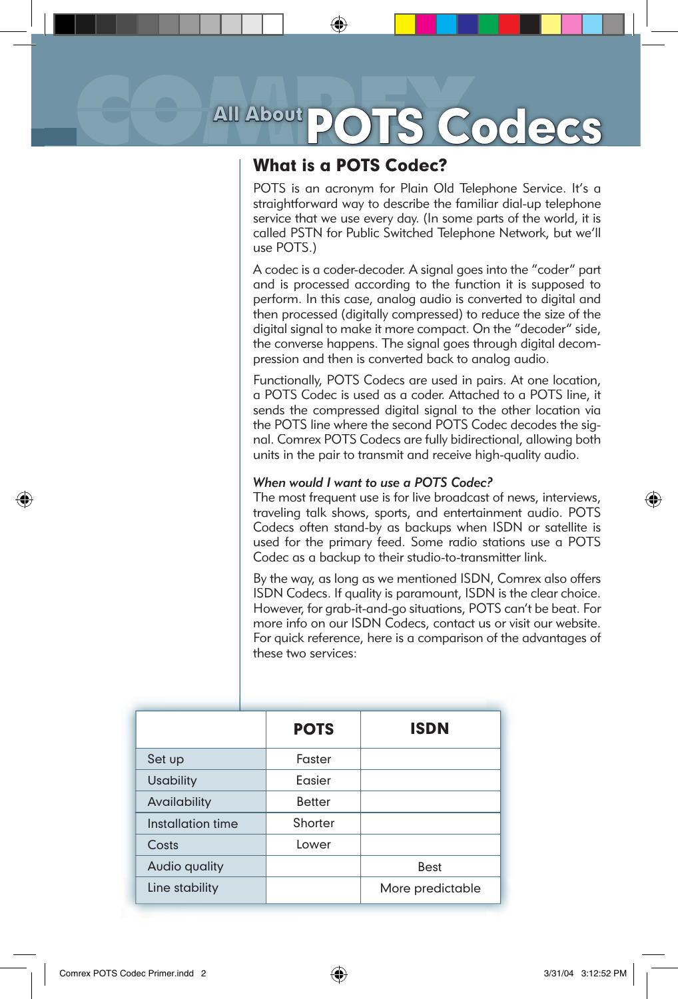# All About POTS Codecs

## What is a POTS Codec?

POTS is an acronym for Plain Old Telephone Service. It's a straightforward way to describe the familiar dial-up telephone service that we use every day. (In some parts of the world, it is called PSTN for Public Switched Telephone Network, but we'll use POTS.)

A codec is a coder-decoder. A signal goes into the "coder" part and is processed according to the function it is supposed to perform. In this case, analog audio is converted to digital and then processed (digitally compressed) to reduce the size of the digital signal to make it more compact. On the "decoder" side, the converse happens. The signal goes through digital decompression and then is converted back to analog audio.

Functionally, POTS Codecs are used in pairs. At one location, a POTS Codec is used as a coder. Attached to a POTS line, it sends the compressed digital signal to the other location via the POTS line where the second POTS Codec decodes the signal. Comrex POTS Codecs are fully bidirectional, allowing both units in the pair to transmit and receive high-quality audio.

#### *When would I want to use a POTS Codec?*

The most frequent use is for live broadcast of news, interviews, traveling talk shows, sports, and entertainment audio. POTS Codecs often stand-by as backups when ISDN or satellite is used for the primary feed. Some radio stations use a POTS Codec as a backup to their studio-to-transmitter link.

By the way, as long as we mentioned ISDN, Comrex also offers ISDN Codecs. If quality is paramount, ISDN is the clear choice. However, for grab-it-and-go situations, POTS can't be beat. For more info on our ISDN Codecs, contact us or visit our website. For quick reference, here is a comparison of the advantages of these two services:

|                   | <b>POTS</b>   | <b>ISDN</b>      |
|-------------------|---------------|------------------|
| Set up            | Faster        |                  |
| <b>Usability</b>  | Fasier        |                  |
| Availability      | <b>Better</b> |                  |
| Installation time | Shorter       |                  |
| Costs             | Lower         |                  |
| Audio quality     |               | <b>Best</b>      |
| Line stability    |               | More predictable |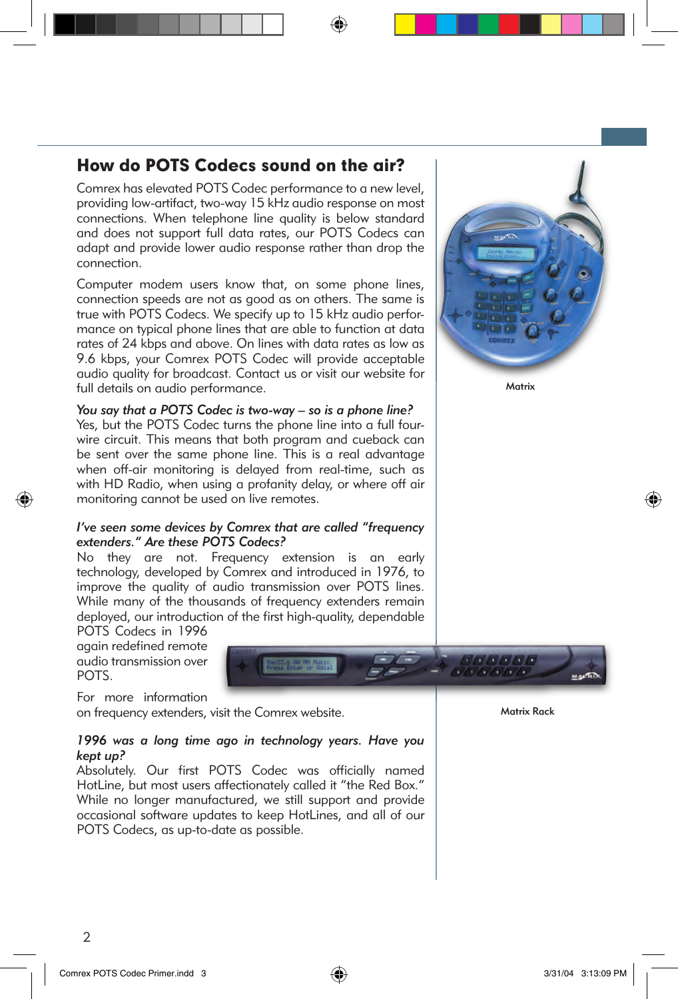## How do POTS Codecs sound on the air?

Comrex has elevated POTS Codec performance to a new level, providing low-artifact, two-way 15 kHz audio response on most connections. When telephone line quality is below standard and does not support full data rates, our POTS Codecs can adapt and provide lower audio response rather than drop the connection.

Computer modem users know that, on some phone lines, connection speeds are not as good as on others. The same is true with POTS Codecs. We specify up to 15 kHz audio performance on typical phone lines that are able to function at data rates of 24 kbps and above. On lines with data rates as low as 9.6 kbps, your Comrex POTS Codec will provide acceptable audio quality for broadcast. Contact us or visit our website for full details on audio performance.

*You say that a POTS Codec is two-way – so is a phone line?* Yes, but the POTS Codec turns the phone line into a full fourwire circuit. This means that both program and cueback can be sent over the same phone line. This is a real advantage when off-air monitoring is delayed from real-time, such as with HD Radio, when using a profanity delay, or where off air monitoring cannot be used on live remotes.

#### *I've seen some devices by Comrex that are called "frequency extenders." Are these POTS Codecs?*

No they are not. Frequency extension is an early technology, developed by Comrex and introduced in 1976, to improve the quality of audio transmission over POTS lines. While many of the thousands of frequency extenders remain deployed, our introduction of the first high-quality, dependable

POTS Codecs in 1996 again redefined remote audio transmission over POTS.



For more information

on frequency extenders, visit the Comrex website.

#### *1996 was a long time ago in technology years. Have you kept up?*

Absolutely. Our first POTS Codec was officially named HotLine, but most users affectionately called it "the Red Box." While no longer manufactured, we still support and provide occasional software updates to keep HotLines, and all of our POTS Codecs, as up-to-date as possible.



**Matrix** 

Matrix Rack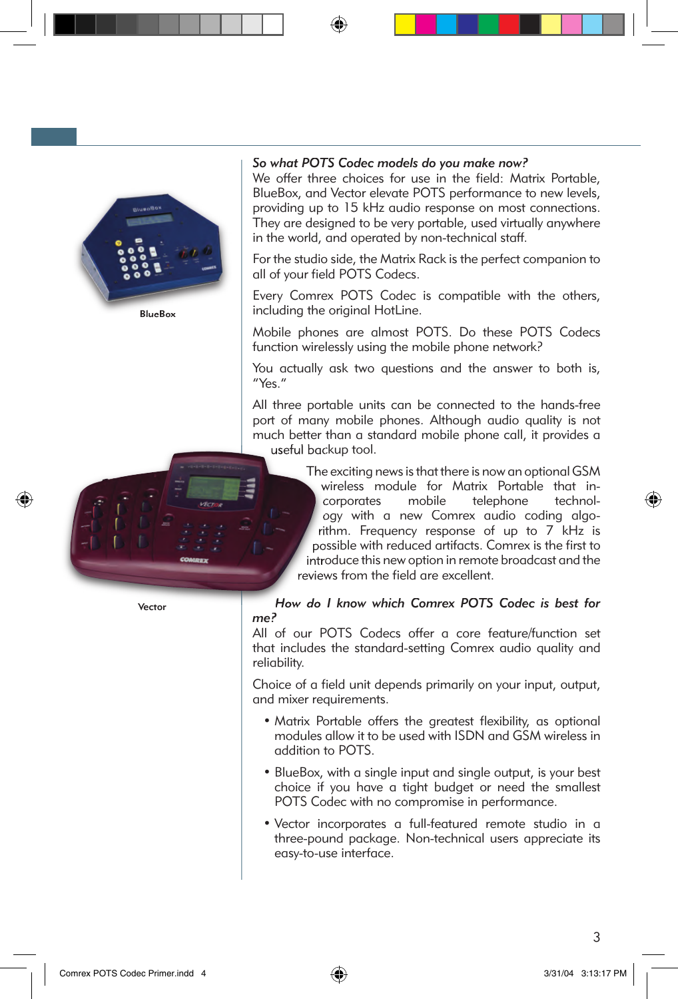

BlueBox

#### *So what POTS Codec models do you make now?*

We offer three choices for use in the field: Matrix Portable, BlueBox, and Vector elevate POTS performance to new levels, providing up to 15 kHz audio response on most connections. They are designed to be very portable, used virtually anywhere in the world, and operated by non-technical staff.

For the studio side, the Matrix Rack is the perfect companion to all of your field POTS Codecs.

Every Comrex POTS Codec is compatible with the others, including the original HotLine.

Mobile phones are almost POTS. Do these POTS Codecs function wirelessly using the mobile phone network?

You actually ask two questions and the answer to both is, "Yes."

All three portable units can be connected to the hands-free port of many mobile phones. Although audio quality is not much better than a standard mobile phone call, it provides a useful backup tool.

> The exciting news is that there is now an optional GSM wireless module for Matrix Portable that incorporates mobile telephone technology with a new Comrex audio coding algorithm. Frequency response of up to 7 kHz is possible with reduced artifacts. Comrex is the first to introduce this new option in remote broadcast and the reviews from the field are excellent.

#### *How do I know which Comrex POTS Codec is best for me?*

All of our POTS Codecs offer a core feature/function set that includes the standard-setting Comrex audio quality and reliability.

Choice of a field unit depends primarily on your input, output, and mixer requirements.

- Matrix Portable offers the greatest flexibility, as optional modules allow it to be used with ISDN and GSM wireless in addition to POTS.
- BlueBox, with a single input and single output, is your best choice if you have a tight budget or need the smallest POTS Codec with no compromise in performance.
- Vector incorporates a full-featured remote studio in a three-pound package. Non-technical users appreciate its easy-to-use interface.



Vector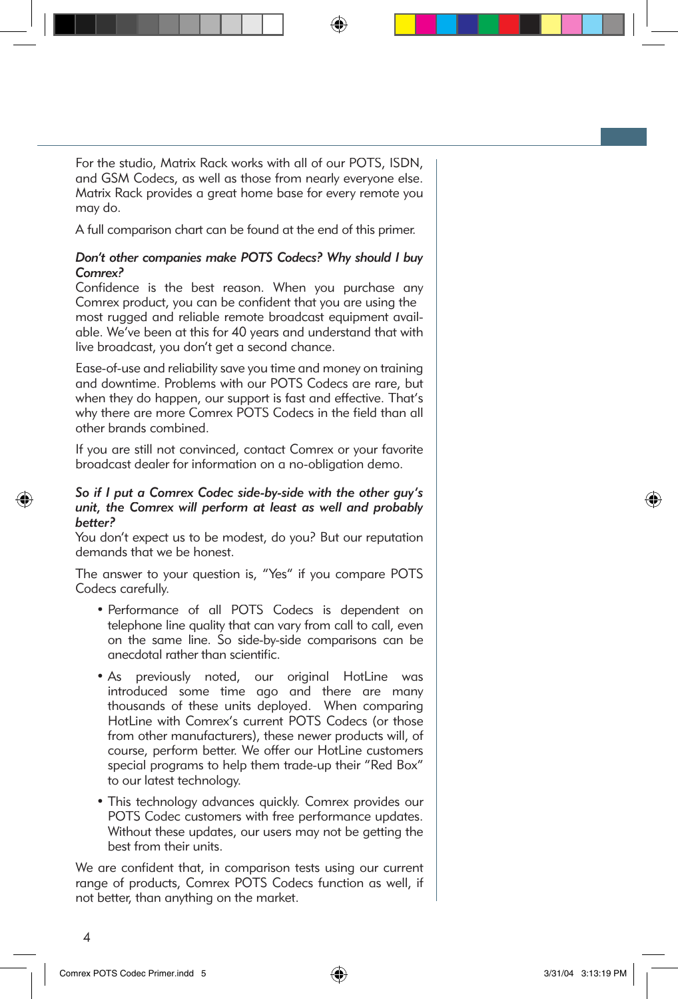For the studio, Matrix Rack works with all of our POTS, ISDN, and GSM Codecs, as well as those from nearly everyone else. Matrix Rack provides a great home base for every remote you may do.

A full comparison chart can be found at the end of this primer.

#### *Don't other companies make POTS Codecs? Why should I buy Comrex?*

Confidence is the best reason. When you purchase any Comrex product, you can be confident that you are using the most rugged and reliable remote broadcast equipment available. We've been at this for 40 years and understand that with live broadcast, you don't get a second chance.

Ease-of-use and reliability save you time and money on training and downtime. Problems with our POTS Codecs are rare, but when they do happen, our support is fast and effective. That's why there are more Comrex POTS Codecs in the field than all other brands combined.

If you are still not convinced, contact Comrex or your favorite broadcast dealer for information on a no-obligation demo.

#### *So if I put a Comrex Codec side-by-side with the other guy's unit, the Comrex will perform at least as well and probably better?*

You don't expect us to be modest, do you? But our reputation demands that we be honest.

The answer to your question is, "Yes" if you compare POTS Codecs carefully.

- Performance of all POTS Codecs is dependent on telephone line quality that can vary from call to call, even on the same line. So side-by-side comparisons can be anecdotal rather than scientific.
- As previously noted, our original HotLine was introduced some time ago and there are many thousands of these units deployed. When comparing HotLine with Comrex's current POTS Codecs (or those from other manufacturers), these newer products will, of course, perform better. We offer our HotLine customers special programs to help them trade-up their "Red Box" to our latest technology.
- This technology advances quickly. Comrex provides our POTS Codec customers with free performance updates. Without these updates, our users may not be getting the best from their units.

We are confident that, in comparison tests using our current range of products, Comrex POTS Codecs function as well, if not better, than anything on the market.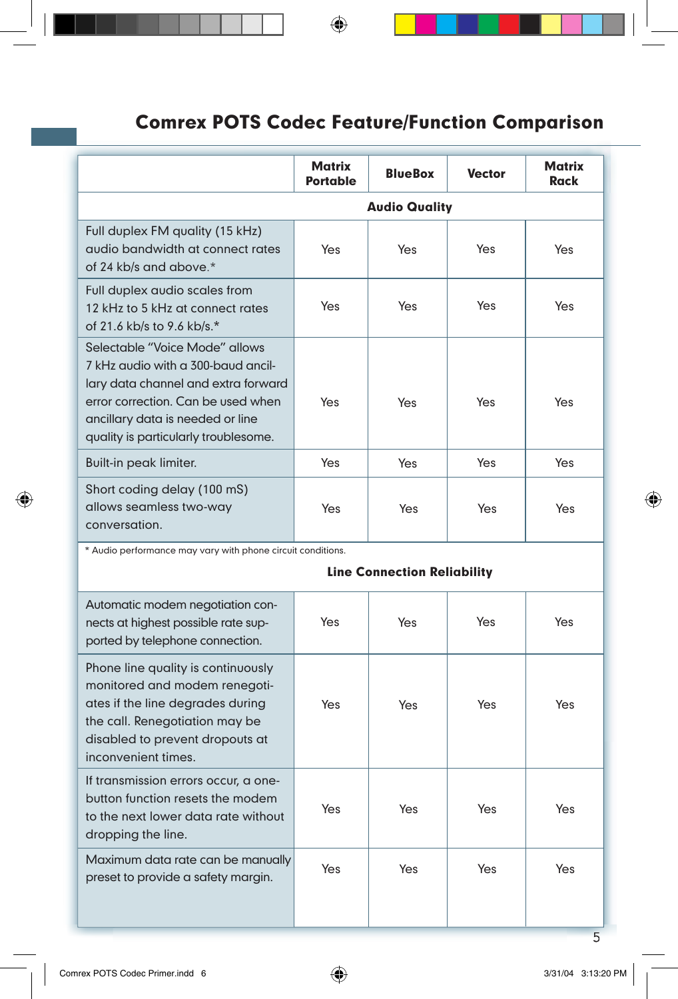# Comrex POTS Codec Feature/Function Comparison

|                                                                                                                                                                                                                               | <b>Matrix</b><br><b>Portable</b> | <b>BlueBox</b> | <b>Vector</b> | Matrix<br><b>Rack</b> |
|-------------------------------------------------------------------------------------------------------------------------------------------------------------------------------------------------------------------------------|----------------------------------|----------------|---------------|-----------------------|
|                                                                                                                                                                                                                               | <b>Audio Quality</b>             |                |               |                       |
| Full duplex FM quality (15 kHz)<br>audio bandwidth at connect rates<br>of 24 kb/s and above.*                                                                                                                                 | Yes                              | Yes            | Yes           | Yes                   |
| Full duplex audio scales from<br>12 kHz to 5 kHz at connect rates<br>of 21.6 kb/s to 9.6 kb/s.*                                                                                                                               | Yes                              | Yes            | Yes           | Yes                   |
| Selectable "Voice Mode" allows<br>7 kHz audio with a 300-baud ancil-<br>lary data channel and extra forward<br>error correction. Can be used when<br>ancillary data is needed or line<br>quality is particularly troublesome. | Yes                              | Yes            | Yes           | Yes                   |
| Built-in peak limiter.                                                                                                                                                                                                        | Yes                              | Yes            | Yes           | Yes                   |
| Short coding delay (100 mS)<br>allows seamless two-way<br>conversation.                                                                                                                                                       | Yes                              | Yes            | Yes           | Yes                   |

\* Audio performance may vary with phone circuit conditions.

#### Line Connection Reliability

| Automatic modem negotiation con-<br>nects at highest possible rate sup-<br>ported by telephone connection.                                                                                          | Yes | Yes | Yes | Yes |
|-----------------------------------------------------------------------------------------------------------------------------------------------------------------------------------------------------|-----|-----|-----|-----|
| Phone line quality is continuously<br>monitored and modem renegoti-<br>ates if the line degrades during<br>the call. Renegotiation may be<br>disabled to prevent dropouts at<br>inconvenient times. | Yes | Yes | Yes | Yes |
| If transmission errors occur, a one-<br>button function resets the modem<br>to the next lower data rate without<br>dropping the line.                                                               | Yes | Yes | Yes | Yes |
| Maximum data rate can be manually<br>preset to provide a safety margin.                                                                                                                             | Yes | Yes | Yes | Yes |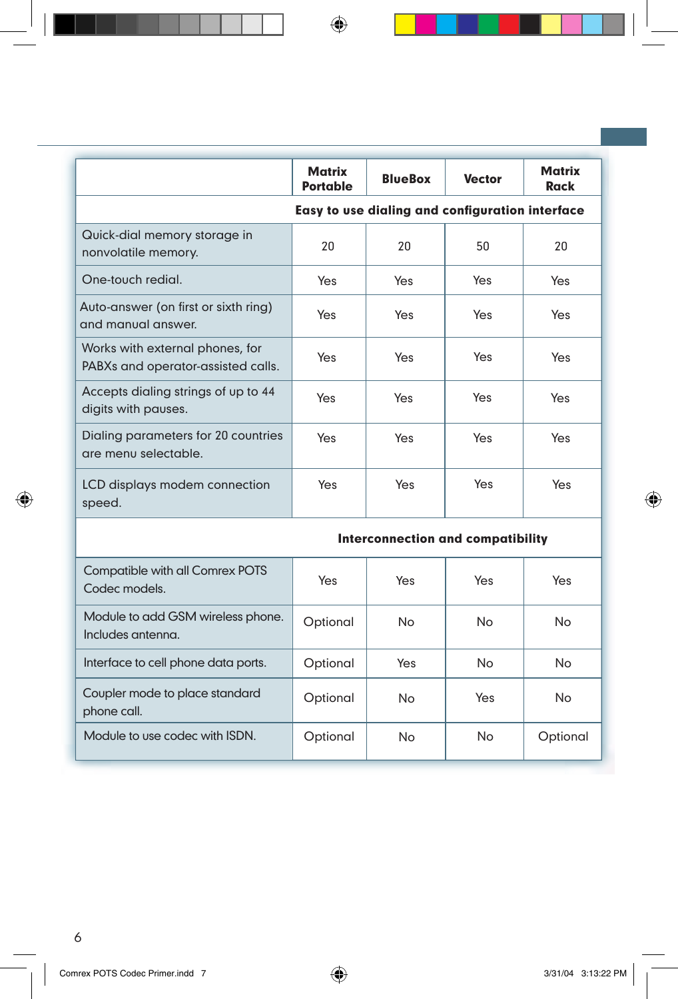|                                                                       | <b>Matrix</b><br><b>Portable</b>                | <b>BlueBox</b> | <b>Vector</b> | Matrix<br><b>Rack</b> |
|-----------------------------------------------------------------------|-------------------------------------------------|----------------|---------------|-----------------------|
|                                                                       | Easy to use dialing and configuration interface |                |               |                       |
| Quick-dial memory storage in<br>nonvolatile memory.                   | 20                                              | 20             | 50            | 20                    |
| One-touch redial.                                                     | Yes                                             | Yes            | Yes           | Yes                   |
| Auto-answer (on first or sixth ring)<br>and manual answer.            | Yes                                             | Yes            | Yes           | Yes                   |
| Works with external phones, for<br>PABXs and operator-assisted calls. | Yes                                             | Yes            | Yes           | <b>Yes</b>            |
| Accepts dialing strings of up to 44<br>digits with pauses.            | Yes                                             | Yes            | Yes           | <b>Yes</b>            |
| Dialing parameters for 20 countries<br>are menu selectable.           | Yes                                             | Yes            | Yes           | <b>Yes</b>            |
| LCD displays modem connection<br>speed.                               | Yes                                             | Yes            | Yes           | Yes                   |
| <b>Interconnection and compatibility</b>                              |                                                 |                |               |                       |
| Compatible with all Comrex POTS                                       |                                                 |                |               |                       |

| Compatible with all Comrex POTS<br>Codec models.       | Yes      | Yes | Yes | Yes       |
|--------------------------------------------------------|----------|-----|-----|-----------|
| Module to add GSM wireless phone.<br>Includes antenna. | Optional | No  | No  | <b>No</b> |
| Interface to cell phone data ports.                    | Optional | Yes | No  | No        |
| Coupler mode to place standard<br>phone call.          | Optional | No  | Yes | No        |
| Module to use codec with ISDN.                         | Optional | No  | No  | Optional  |